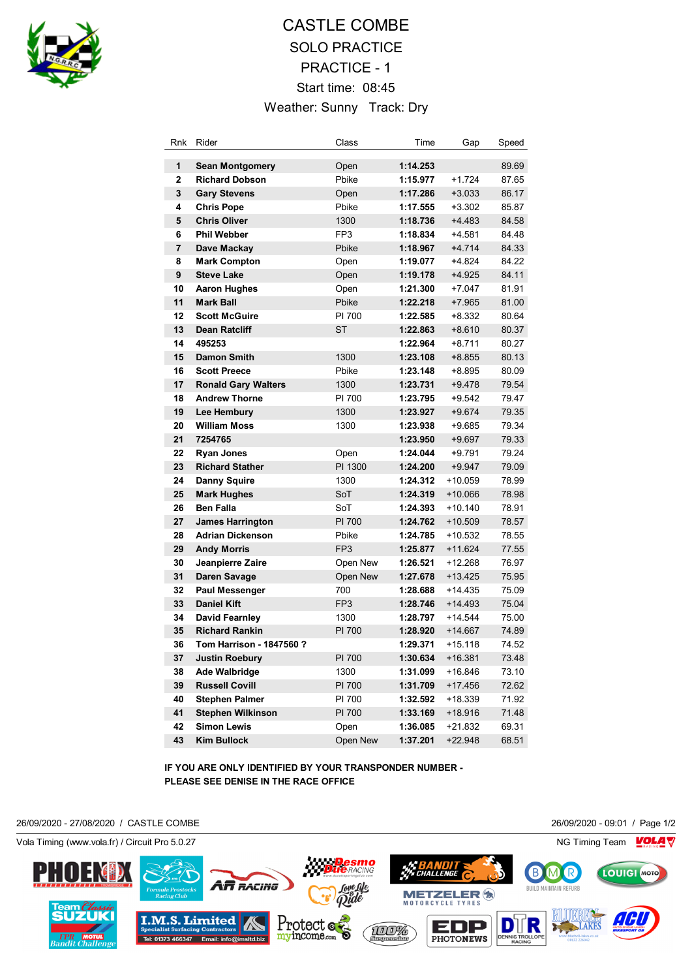

## CASTLE COMBE SOLO PRACTICE PRACTICE - 1 Start time: 08:45 Weather: Sunny Track: Dry

| 1<br>1:14.253<br><b>Sean Montgomery</b><br>Open<br>$\overline{2}$<br>Pbike<br><b>Richard Dobson</b><br>1:15.977<br>$+1.724$<br>3<br>1:17.286<br><b>Gary Stevens</b><br>Open<br>$+3.033$<br>4<br>Pbike<br>1:17.555<br>$+3.302$<br><b>Chris Pope</b><br>5<br><b>Chris Oliver</b><br>1300<br>1:18.736<br>$+4.483$<br>6<br><b>Phil Webber</b><br>FP3<br>1:18.834<br>$+4.581$<br>$\overline{\mathbf{r}}$<br>$+4.714$<br>Dave Mackay<br>Pbike<br>1:18.967<br>8<br>1:19.077<br>$+4.824$<br><b>Mark Compton</b><br>Open<br>9<br><b>Steve Lake</b><br>1:19.178<br>$+4.925$<br>Open | 89.69<br>87.65<br>86.17<br>85.87<br>84.58<br>84.48<br>84.33<br>84.22<br>84.11<br>81.91<br>81.00<br>80.64 |
|---------------------------------------------------------------------------------------------------------------------------------------------------------------------------------------------------------------------------------------------------------------------------------------------------------------------------------------------------------------------------------------------------------------------------------------------------------------------------------------------------------------------------------------------------------------------------|----------------------------------------------------------------------------------------------------------|
|                                                                                                                                                                                                                                                                                                                                                                                                                                                                                                                                                                           |                                                                                                          |
|                                                                                                                                                                                                                                                                                                                                                                                                                                                                                                                                                                           |                                                                                                          |
|                                                                                                                                                                                                                                                                                                                                                                                                                                                                                                                                                                           |                                                                                                          |
|                                                                                                                                                                                                                                                                                                                                                                                                                                                                                                                                                                           |                                                                                                          |
|                                                                                                                                                                                                                                                                                                                                                                                                                                                                                                                                                                           |                                                                                                          |
|                                                                                                                                                                                                                                                                                                                                                                                                                                                                                                                                                                           |                                                                                                          |
|                                                                                                                                                                                                                                                                                                                                                                                                                                                                                                                                                                           |                                                                                                          |
|                                                                                                                                                                                                                                                                                                                                                                                                                                                                                                                                                                           |                                                                                                          |
|                                                                                                                                                                                                                                                                                                                                                                                                                                                                                                                                                                           |                                                                                                          |
| 10<br>1:21.300<br>$+7.047$<br><b>Aaron Hughes</b><br>Open                                                                                                                                                                                                                                                                                                                                                                                                                                                                                                                 |                                                                                                          |
| 11<br><b>Mark Ball</b><br>Pbike<br>1:22.218<br>$+7.965$                                                                                                                                                                                                                                                                                                                                                                                                                                                                                                                   |                                                                                                          |
| 12<br><b>Scott McGuire</b><br>PI 700<br>1:22.585<br>$+8.332$                                                                                                                                                                                                                                                                                                                                                                                                                                                                                                              |                                                                                                          |
| 13<br><b>Dean Ratcliff</b><br>ST<br>1:22.863<br>$+8.610$                                                                                                                                                                                                                                                                                                                                                                                                                                                                                                                  | 80.37                                                                                                    |
| 14<br>1:22.964<br>$+8.711$<br>495253                                                                                                                                                                                                                                                                                                                                                                                                                                                                                                                                      | 80.27                                                                                                    |
| 15<br><b>Damon Smith</b><br>1300<br>1:23.108<br>$+8.855$                                                                                                                                                                                                                                                                                                                                                                                                                                                                                                                  | 80.13                                                                                                    |
| 16<br><b>Scott Preece</b><br>Pbike<br>1:23.148<br>$+8.895$                                                                                                                                                                                                                                                                                                                                                                                                                                                                                                                | 80.09                                                                                                    |
| 17<br><b>Ronald Gary Walters</b><br>1300<br>1:23.731<br>$+9.478$                                                                                                                                                                                                                                                                                                                                                                                                                                                                                                          | 79.54                                                                                                    |
| PI 700<br>18<br><b>Andrew Thorne</b><br>1:23.795<br>$+9.542$                                                                                                                                                                                                                                                                                                                                                                                                                                                                                                              | 79.47                                                                                                    |
| 19<br>1300<br>1:23.927<br>$+9.674$<br>Lee Hembury                                                                                                                                                                                                                                                                                                                                                                                                                                                                                                                         | 79.35                                                                                                    |
| 20<br><b>William Moss</b><br>1300<br>1:23.938<br>$+9.685$                                                                                                                                                                                                                                                                                                                                                                                                                                                                                                                 | 79.34                                                                                                    |
| 21<br>7254765<br>1:23.950<br>$+9.697$                                                                                                                                                                                                                                                                                                                                                                                                                                                                                                                                     | 79.33                                                                                                    |
| 22<br>1:24.044<br><b>Ryan Jones</b><br>Open<br>+9.791                                                                                                                                                                                                                                                                                                                                                                                                                                                                                                                     | 79.24                                                                                                    |
| 23<br><b>Richard Stather</b><br>PI 1300<br>1:24.200<br>$+9.947$                                                                                                                                                                                                                                                                                                                                                                                                                                                                                                           | 79.09                                                                                                    |
| 24<br><b>Danny Squire</b><br>1300<br>1:24.312<br>$+10.059$                                                                                                                                                                                                                                                                                                                                                                                                                                                                                                                | 78.99                                                                                                    |
| 25<br>SoT<br><b>Mark Hughes</b><br>1:24.319<br>+10.066                                                                                                                                                                                                                                                                                                                                                                                                                                                                                                                    | 78.98                                                                                                    |
| 26<br><b>Ben Falla</b><br>SoT<br>1:24.393<br>$+10.140$                                                                                                                                                                                                                                                                                                                                                                                                                                                                                                                    | 78.91                                                                                                    |
| 27<br>PI 700<br>1:24.762<br><b>James Harrington</b><br>+10.509                                                                                                                                                                                                                                                                                                                                                                                                                                                                                                            | 78.57                                                                                                    |
| 28<br><b>Adrian Dickenson</b><br>Pbike<br>1:24.785<br>+10.532                                                                                                                                                                                                                                                                                                                                                                                                                                                                                                             | 78.55                                                                                                    |
| 29<br>FP <sub>3</sub><br><b>Andy Morris</b><br>1:25.877<br>+11.624                                                                                                                                                                                                                                                                                                                                                                                                                                                                                                        | 77.55                                                                                                    |
| 30<br>1:26.521<br>+12.268<br>Jeanpierre Zaire<br>Open New                                                                                                                                                                                                                                                                                                                                                                                                                                                                                                                 | 76.97                                                                                                    |
| 31<br>Open New<br>$+13.425$<br>Daren Savage<br>1:27.678                                                                                                                                                                                                                                                                                                                                                                                                                                                                                                                   | 75.95                                                                                                    |
| 32<br>700<br><b>Paul Messenger</b><br>1:28.688<br>+14.435<br>33<br><b>Daniel Kift</b><br>1:28.746<br>$+14.493$                                                                                                                                                                                                                                                                                                                                                                                                                                                            | 75.09                                                                                                    |
| FP <sub>3</sub><br>34<br>$+14.544$<br>David Fearnley<br>1300<br>1:28.797                                                                                                                                                                                                                                                                                                                                                                                                                                                                                                  | 75.04<br>75.00                                                                                           |
| 35<br><b>Richard Rankin</b><br>PI 700<br>$+14.667$<br>1:28.920                                                                                                                                                                                                                                                                                                                                                                                                                                                                                                            | 74.89                                                                                                    |
| 36<br>Tom Harrison - 1847560 ?<br>1:29.371<br>$+15.118$                                                                                                                                                                                                                                                                                                                                                                                                                                                                                                                   | 74.52                                                                                                    |
| 37<br>PI 700<br><b>Justin Roebury</b><br>1:30.634<br>$+16.381$                                                                                                                                                                                                                                                                                                                                                                                                                                                                                                            | 73.48                                                                                                    |
| 38<br>Ade Walbridge<br>1300<br>1:31.099<br>$+16.846$                                                                                                                                                                                                                                                                                                                                                                                                                                                                                                                      | 73.10                                                                                                    |
| 39<br><b>Russell Covill</b><br>PI 700<br>1:31.709<br>$+17.456$                                                                                                                                                                                                                                                                                                                                                                                                                                                                                                            | 72.62                                                                                                    |
| 40<br>PI 700<br><b>Stephen Palmer</b><br>1:32.592<br>+18.339                                                                                                                                                                                                                                                                                                                                                                                                                                                                                                              | 71.92                                                                                                    |
| 41<br><b>Stephen Wilkinson</b><br>PI 700<br>1:33.169<br>$+18.916$                                                                                                                                                                                                                                                                                                                                                                                                                                                                                                         | 71.48                                                                                                    |
| 42<br><b>Simon Lewis</b><br>1:36.085<br>Open<br>$+21.832$                                                                                                                                                                                                                                                                                                                                                                                                                                                                                                                 | 69.31                                                                                                    |
| 43<br>Kim Bullock<br>Open New<br>1:37.201<br>+22.948                                                                                                                                                                                                                                                                                                                                                                                                                                                                                                                      | 68.51                                                                                                    |

**IF YOU ARE ONLY IDENTIFIED BY YOUR TRANSPONDER NUMBER - PLEASE SEE DENISE IN THE RACE OFFICE**

26/09/2020 - 27/08/2020 / CASTLE COMBE 26/09/2020 - 09:01 / Page 1/2

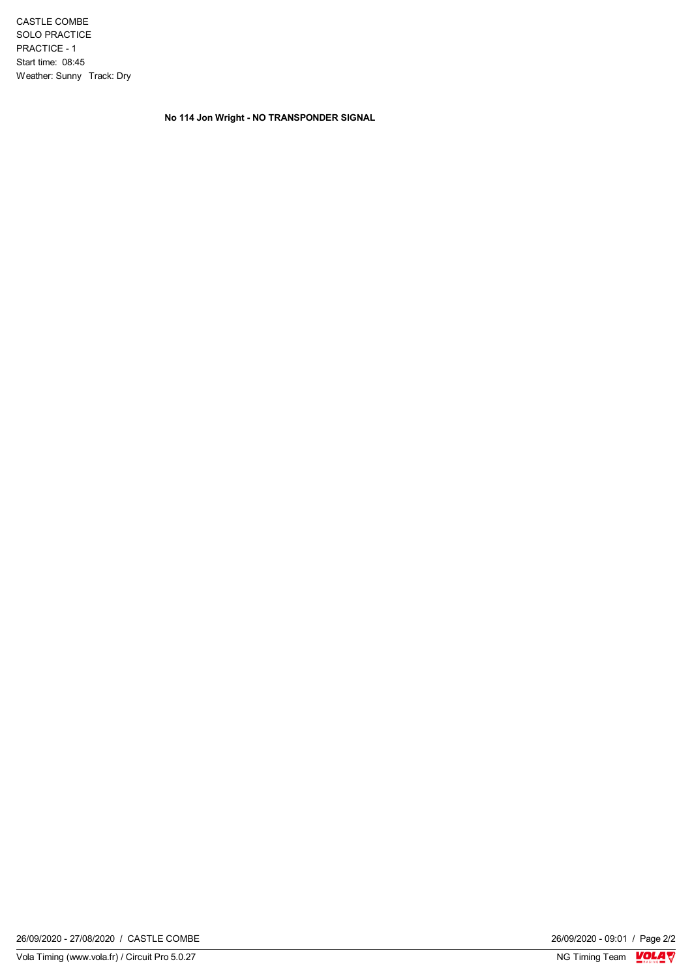CASTLE COMBE SOLO PRACTICE PRACTICE - 1 Start time: 08:45 Weather: Sunny Track: Dry

**No 114 Jon Wright - NO TRANSPONDER SIGNAL**

 $\frac{26/09/2020 - 09:01}{\text{NG} \text{ Timing Team}} \frac{\text{VOL1}}{\text{N}}$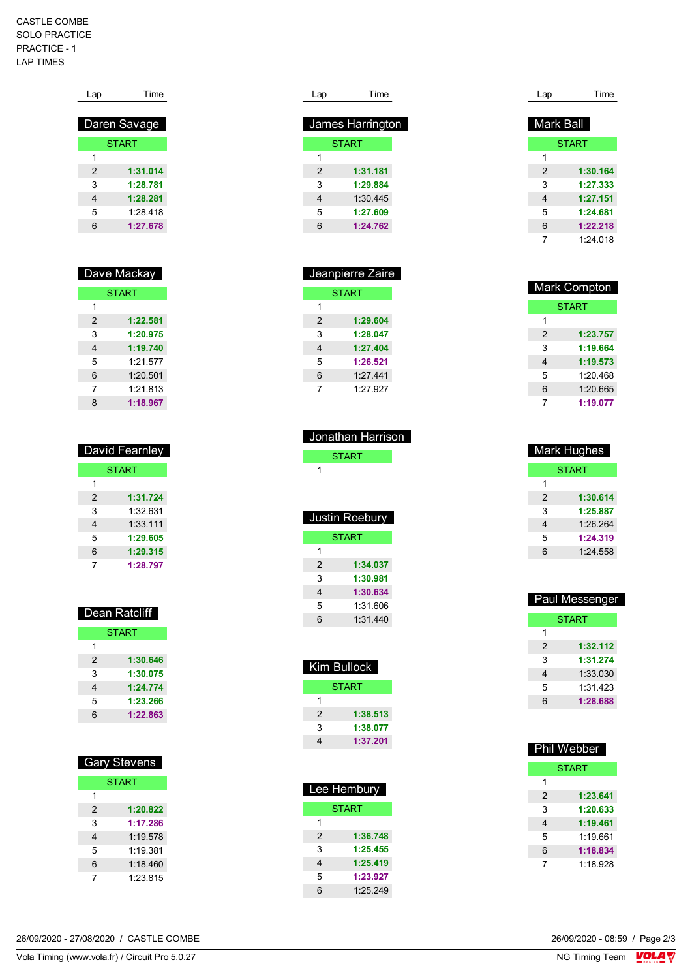## CASTLE COMBE SOLO PRACTICE PRACTICE - 1 LAP TIMES

| Daren Savage  |
|---------------|
| <b>START</b>  |
| 1             |
| 1:31.014<br>2 |
| 3<br>1:28.781 |
| 1:28.281<br>4 |
| 5<br>1.28 418 |
| 6<br>1:27.678 |

| Dave Mackay   |              |
|---------------|--------------|
|               | <b>START</b> |
| 1             |              |
| $\mathcal{P}$ | 1:22.581     |
| 3             | 1:20.975     |
| 4             | 1:19.740     |
| 5             | 1.21.577     |
| 6             | 1:20.501     |
| 7             | 1.21.813     |
| 8             | 1:18.967     |

| David Fearnley |              |
|----------------|--------------|
|                | <b>START</b> |
|                |              |
| 2              | 1:31.724     |
| 3              | 1:32 631     |
| 4              | 1:33.111     |
| 5              | 1:29.605     |
| 6              | 1:29.315     |
|                | 1:28.797     |

| Dean Ratcilit |          |
|---------------|----------|
| <b>START</b>  |          |
| 1             |          |
| 2             | 1:30.646 |
| 3             | 1:30.075 |
| 4             | 1:24.774 |
| 5             | 1:23.266 |
| 6             | 1:22.863 |

Dean Ratcliff

| <b>Gary Stevens</b> |              |
|---------------------|--------------|
|                     | <b>START</b> |
| 1                   |              |
| 2                   | 1:20.822     |
| 3                   | 1:17.286     |
| 4                   | 1:19.578     |
| 5                   | 1.19.381     |
| 6                   | 1:18.460     |
|                     | 1:23.815     |

| Lap           | Time             |
|---------------|------------------|
|               | James Harrington |
|               | <b>START</b>     |
| 1             |                  |
| $\mathcal{P}$ | 1:31.181         |
| 3             | 1:29.884         |
| 4             | 1:30.445         |
| 5             | 1:27.609         |
| 6             | 1:24.762         |
|               |                  |

| Jeanpierre Zaire |              |
|------------------|--------------|
|                  | <b>START</b> |
| 1                |              |
| $\mathcal{P}$    | 1:29.604     |
| 3                | 1:28.047     |
| 4                | 1:27.404     |
| 5                | 1:26.521     |
| 6                | 1:27.441     |
| 7                | 1.27927      |

| Jonathan Harrison |                |
|-------------------|----------------|
|                   | <b>START</b>   |
| 1                 |                |
|                   |                |
|                   |                |
|                   | Justin Roebury |
|                   | <b>START</b>   |
| 1                 |                |
| 2                 | 1:34.037       |
|                   |                |
| 3                 | 1:30.981       |
| 4                 | 1:30.634       |

1:31.440

| Kim Bullock   |              |  |
|---------------|--------------|--|
|               | <b>START</b> |  |
| 1             |              |  |
| $\mathcal{P}$ | 1:38.513     |  |
| 3             | 1:38.077     |  |
|               | 1:37.201     |  |

| Lee Hembury    |          |  |
|----------------|----------|--|
| <b>START</b>   |          |  |
| 1              |          |  |
| $\overline{2}$ | 1:36.748 |  |
| 3              | 1:25.455 |  |
| 4              | 1:25.419 |  |
| 5              | 1:23.927 |  |
| 6              | 1:25.249 |  |

| Lap       | Time         |
|-----------|--------------|
|           |              |
| Mark Ball |              |
|           | <b>START</b> |
| 1         |              |
| 2         | 1:30.164     |
| 3         | 1:27.333     |
| 4         | 1:27.151     |
| 5         | 1:24.681     |
| 6         | 1:22.218     |
| 7         | 1.24018      |

| Mark Compton |          |
|--------------|----------|
| <b>START</b> |          |
| 1            |          |
| 2            | 1:23.757 |
| 3            | 1:19.664 |
| 4            | 1:19.573 |
| 5            | 1:20.468 |
| 6            | 1:20.665 |
| 7            | 1:19.077 |

| <b>Mark Hughes</b> |          |  |
|--------------------|----------|--|
| START              |          |  |
| 1                  |          |  |
| 2                  | 1:30.614 |  |
| 3                  | 1:25.887 |  |
| 4                  | 1:26.264 |  |
| 5                  | 1:24.319 |  |
| 6                  | 1:24.558 |  |

| Paul Messenger |          |  |
|----------------|----------|--|
| <b>START</b>   |          |  |
| 1              |          |  |
| 2              | 1:32.112 |  |
| 3              | 1:31.274 |  |
| 4              | 1:33.030 |  |
| 5              | 1:31 423 |  |
| 6              | 1:28.688 |  |
|                |          |  |

| <b>Phil Webber</b> |          |  |
|--------------------|----------|--|
| <b>START</b>       |          |  |
| 1                  |          |  |
| $\mathfrak{p}$     | 1:23.641 |  |
| 3                  | 1:20.633 |  |
| 4                  | 1:19.461 |  |
| 5                  | 1.19661  |  |
| 6                  | 1:18.834 |  |
| 7                  | 1:18.928 |  |

26/09/2020 - 27/08/2020 / CASTLE COMBE